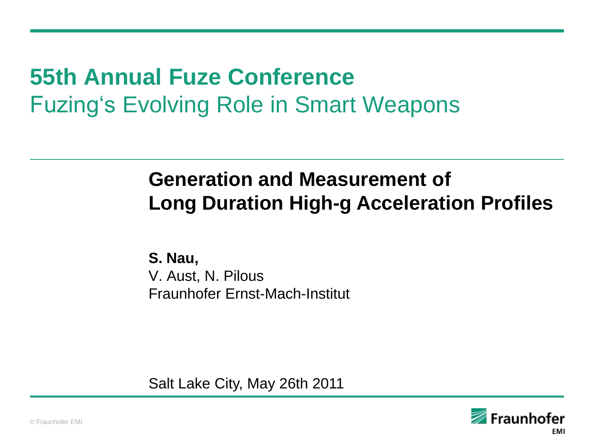## **55th Annual Fuze Conference** Fuzing"s Evolving Role in Smart Weapons

### **Generation and Measurement of Long Duration High-g Acceleration Profiles**

**S. Nau,**  V. Aust, N. Pilous Fraunhofer Ernst-Mach-Institut

Salt Lake City, May 26th 2011

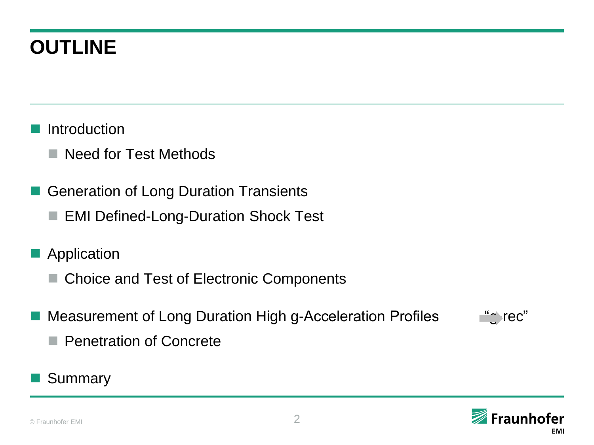### **OUTLINE**

- **Introduction** 
	- Need for Test Methods
- Generation of Long Duration Transients
	- EMI Defined-Long-Duration Shock Test
- Application
	- Choice and Test of Electronic Components
- Measurement of Long Duration High g-Acceleration Profiles "grec"
	-

- **Penetration of Concrete**
- Summary

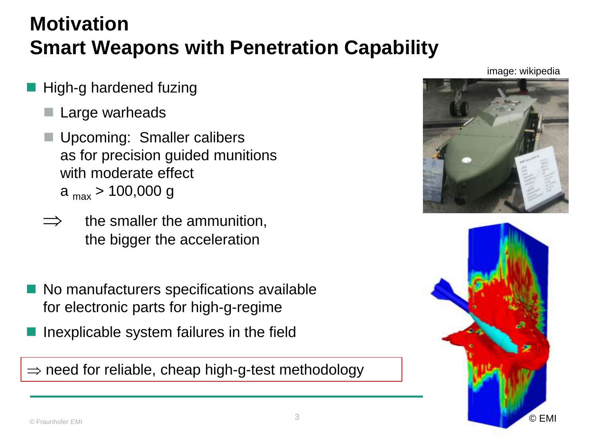### **Motivation Smart Weapons with Penetration Capability**

- High-g hardened fuzing
	- Large warheads
	- Upcoming: Smaller calibers as for precision guided munitions with moderate effect a  $_{\text{max}}$  > 100,000 g
	- the smaller the ammunition, the bigger the acceleration
- No manufacturers specifications available for electronic parts for high-g-regime
- Inexplicable system failures in the field

 $\Rightarrow$  need for reliable, cheap high-g-test methodology

image: wikipedia

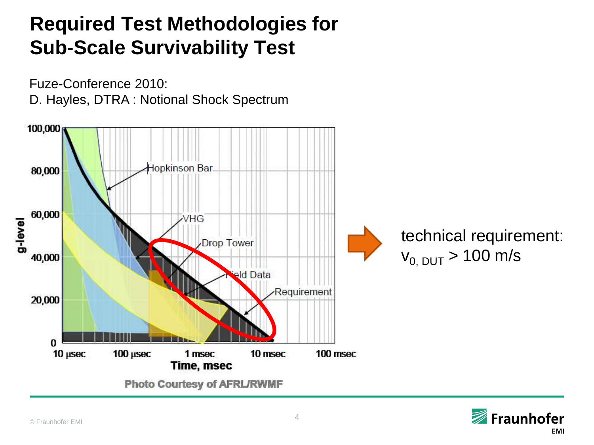### **Required Test Methodologies for Sub-Scale Survivability Test**



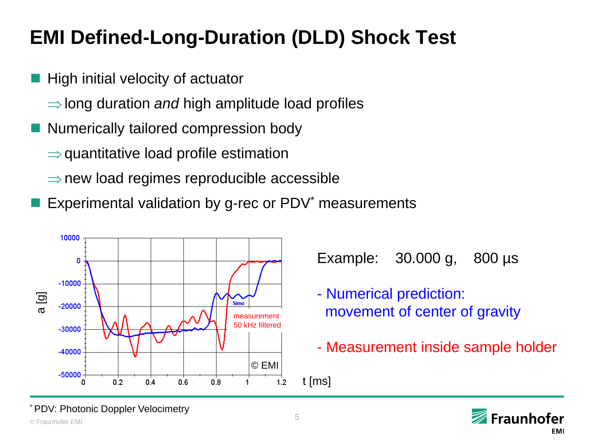### **EMI Defined-Long-Duration (DLD) Shock Test**

- High initial velocity of actuator
	- $\Rightarrow$  long duration *and* high amplitude load profiles
- Numerically tailored compression body
	- $\Rightarrow$  quantitative load profile estimation
	- $\Rightarrow$  new load regimes reproducible accessible
- Experimental validation by g-rec or PDV<sup>\*</sup> measurements



Example: 30.000 g, 800 µs

- Numerical prediction: movement of center of gravity
- Measurement inside sample holder



© Fraunhofer EMI 5 \* PDV: Photonic Doppler Velocimetry

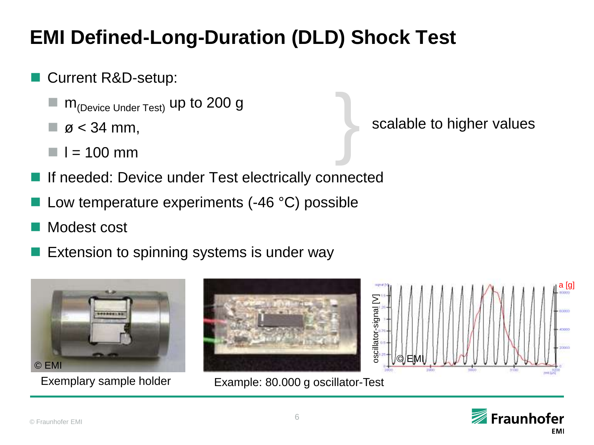### **EMI Defined-Long-Duration (DLD) Shock Test**

- Current R&D-setup:
	- $m_{(Device Under Test)}$  up to 200 g
	- $\Box$  ø < 34 mm,
	- $\blacksquare$   $\blacksquare$  = 100 mm
- If needed: Device under Test electrically connected
- Low temperature experiments (-46 °C) possible
- Modest cost
- Extension to spinning systems is under way





Exemplary sample holder Example: 80.000 g oscillator-Test

}

oscillator-signal [V]

scalable to higher values



a [g]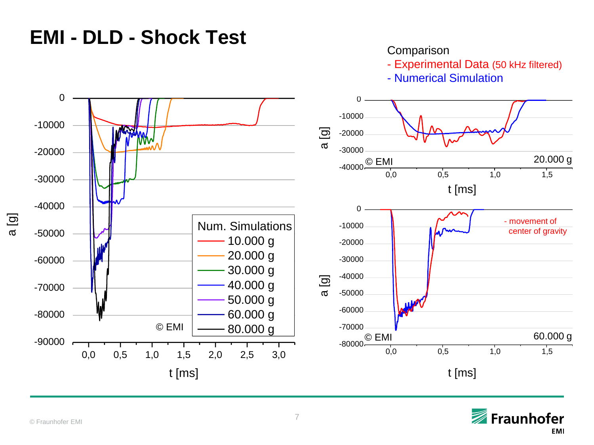### **EMI - DLD - Shock Test**

#### **Comparison**

- Experimental Data (50 kHz filtered)

- Numerical Simulation



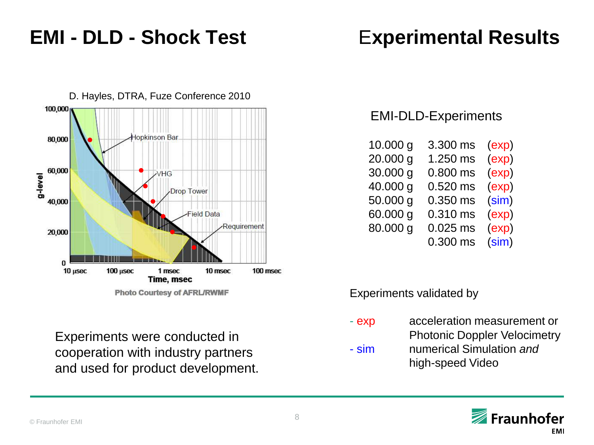### **EMI - DLD - Shock Test** E**xperimental Results**



**Photo Courtesy of AFRL/RWMF** 

EMI-DLD-Experiments

| 10.000 g | 3.300 ms   | (exp) |
|----------|------------|-------|
| 20.000 g | 1.250 ms   | (exp) |
| 30.000 g | 0.800 ms   | (exp) |
| 40.000 g | $0.520$ ms | (exp) |
| 50.000 g | $0.350$ ms | (sim) |
| 60.000 g | 0.310 ms   | (exp) |
| 80.000 g | $0.025$ ms | (exp) |
|          | $0.300$ ms | (sim) |

Experiments validated by

Experiments were conducted in cooperation with industry partners and used for product development. - exp acceleration measurement or

- Photonic Doppler Velocimetry
- sim numerical Simulation *and* high-speed Video

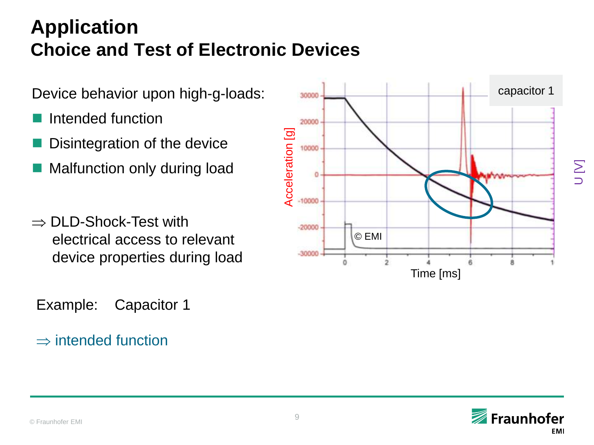### **Application Choice and Test of Electronic Devices**

Device behavior upon high-g-loads:

- Intended function
- Disintegration of the device
- Malfunction only during load
- $\Rightarrow$  DLD-Shock-Test with electrical access to relevant device properties during load

Example: Capacitor 1

#### $\Rightarrow$  intended function



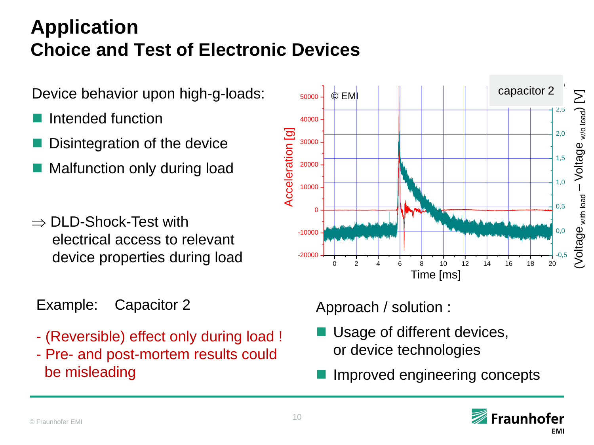### **Application Choice and Test of Electronic Devices**

Device behavior upon high-g-loads:

- Intended function
- Disintegration of the device
- Malfunction only during load
- $\Rightarrow$  DLD-Shock-Test with electrical access to relevant device properties during load
- Example: Capacitor 2
- (Reversible) effect only during load !
- Pre- and post-mortem results could be misleading



### Approach / solution :

- Usage of different devices, or device technologies
- Improved engineering concepts

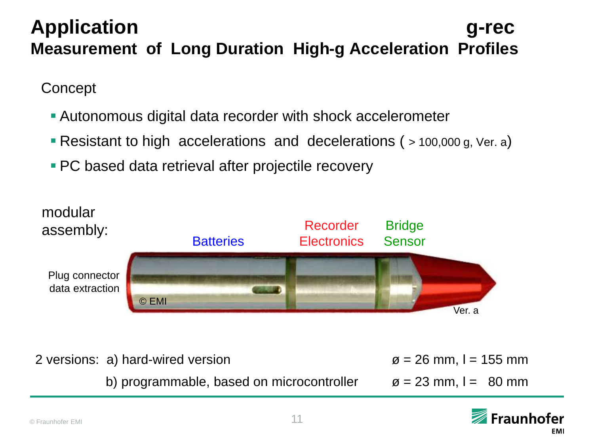### **Application g-rec Measurement of Long Duration High-g Acceleration Profiles**

#### **Concept**

- Autonomous digital data recorder with shock accelerometer
- Resistant to high accelerations and decelerations ( > 100,000 g, Ver. a)
- **PC** based data retrieval after projectile recovery



2 versions: a) hard-wired version  $\emptyset = 26$  mm, I = 155 mm

b) programmable, based on microcontroller  $\qquad \alpha = 23$  mm, I = 80 mm

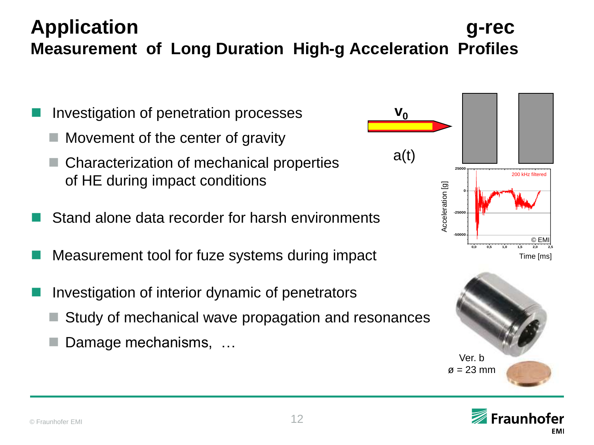### **Application g-rec Measurement of Long Duration High-g Acceleration Profiles**

- Investigation of penetration processes
	- Movement of the center of gravity
	- Characterization of mechanical properties of HE during impact conditions
- Stand alone data recorder for harsh environments
- Measurement tool for fuze systems during impact
- Investigation of interior dynamic of penetrators
	- Study of mechanical wave propagation and resonances
	- Damage mechanisms, …



**v**<sup>0</sup>

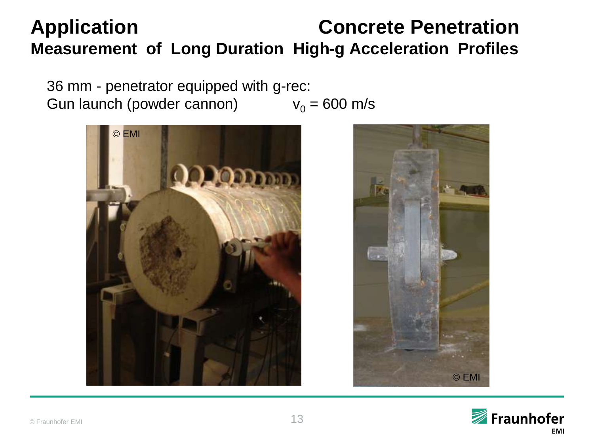36 mm - penetrator equipped with g-rec: Gun launch (powder cannon)  $v_0 = 600$  m/s





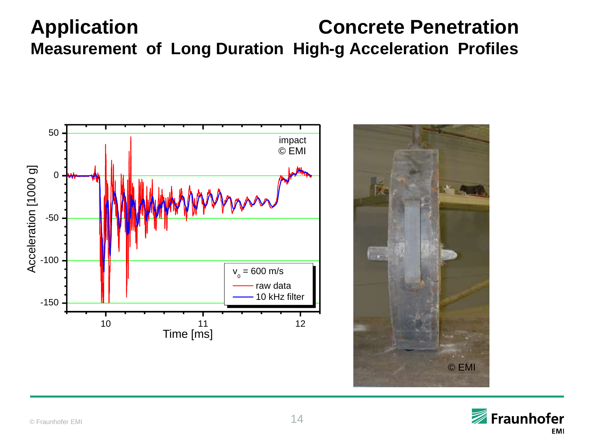



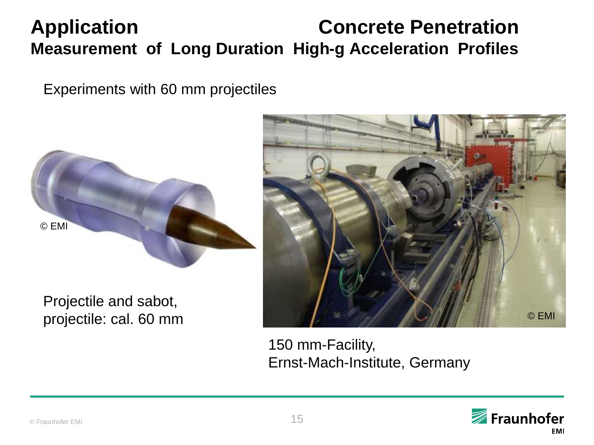Experiments with 60 mm projectiles



Projectile and sabot, projectile: cal. 60 mm



150 mm-Facility, Ernst-Mach-Institute, Germany

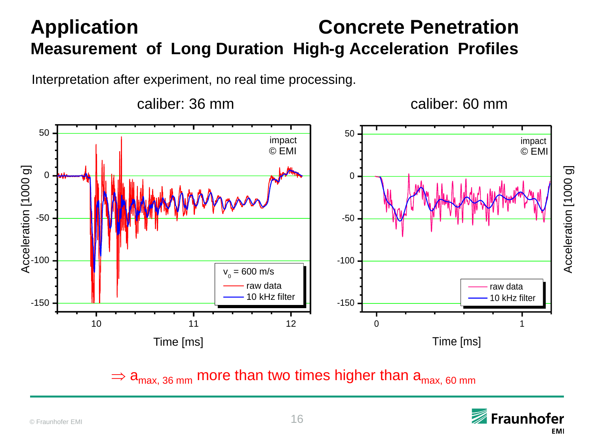Interpretation after experiment, no real time processing.



 $\Rightarrow$  a<sub>max, 36 mm</sub> more than two times higher than a<sub>max, 60</sub> mm

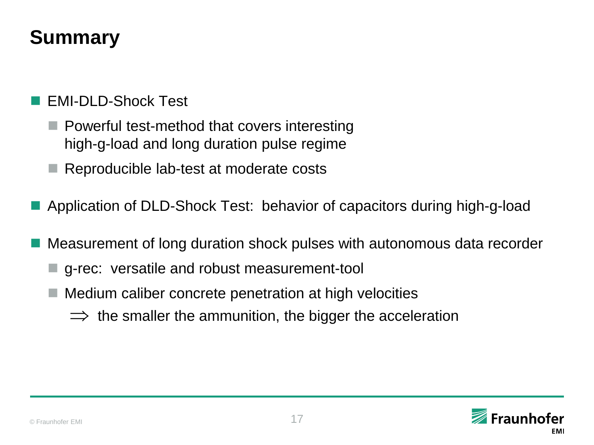### **Summary**

#### EMI-DLD-Shock Test

- $\blacksquare$  Powerful test-method that covers interesting high-g-load and long duration pulse regime
- Reproducible lab-test at moderate costs
- Application of DLD-Shock Test: behavior of capacitors during high-g-load
- Measurement of long duration shock pulses with autonomous data recorder
	- g-rec: versatile and robust measurement-tool
	- Medium caliber concrete penetration at high velocities
		- $\Rightarrow$  the smaller the ammunition, the bigger the acceleration